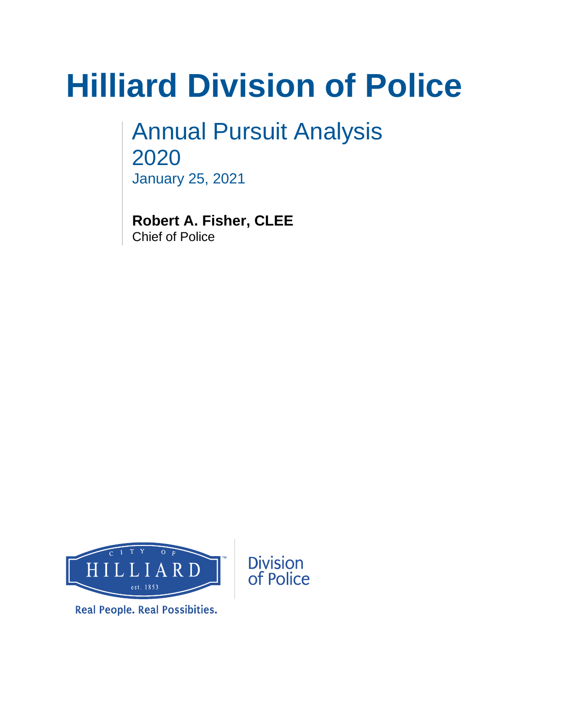# **Hilliard Division of Police**

Annual Pursuit Analysis 2020 January 25, 2021

**Robert A. Fisher, CLEE** Chief of Police



**Real People. Real Possibities.**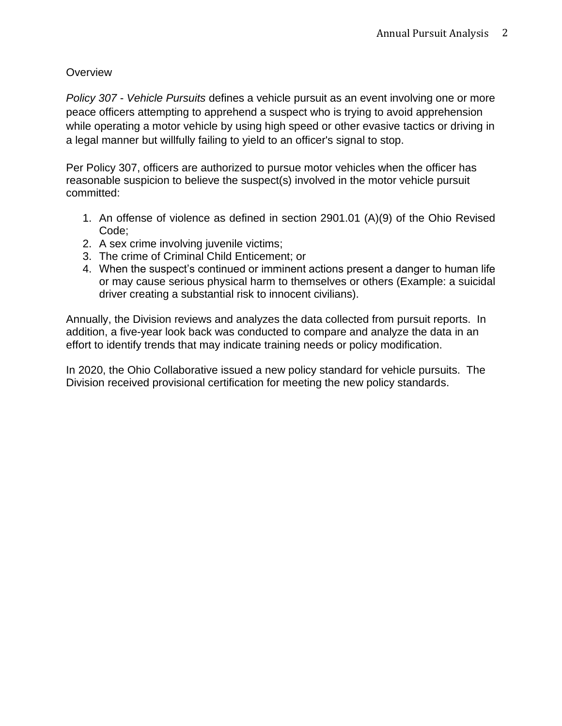## **Overview**

*Policy 307* - *Vehicle Pursuits* defines a vehicle pursuit as an event involving one or more peace officers attempting to apprehend a suspect who is trying to avoid apprehension while operating a motor vehicle by using high speed or other evasive tactics or driving in a legal manner but willfully failing to yield to an officer's signal to stop.

Per Policy 307, officers are authorized to pursue motor vehicles when the officer has reasonable suspicion to believe the suspect(s) involved in the motor vehicle pursuit committed:

- 1. An offense of violence as defined in section 2901.01 (A)(9) of the Ohio Revised Code;
- 2. A sex crime involving juvenile victims;
- 3. The crime of Criminal Child Enticement; or
- 4. When the suspect's continued or imminent actions present a danger to human life or may cause serious physical harm to themselves or others (Example: a suicidal driver creating a substantial risk to innocent civilians).

Annually, the Division reviews and analyzes the data collected from pursuit reports. In addition, a five-year look back was conducted to compare and analyze the data in an effort to identify trends that may indicate training needs or policy modification.

In 2020, the Ohio Collaborative issued a new policy standard for vehicle pursuits. The Division received provisional certification for meeting the new policy standards.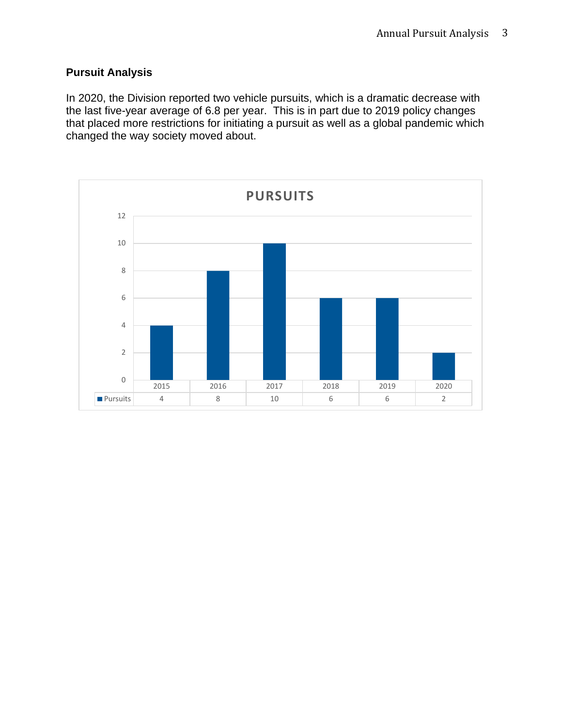## **Pursuit Analysis**

In 2020, the Division reported two vehicle pursuits, which is a dramatic decrease with the last five-year average of 6.8 per year. This is in part due to 2019 policy changes that placed more restrictions for initiating a pursuit as well as a global pandemic which changed the way society moved about.

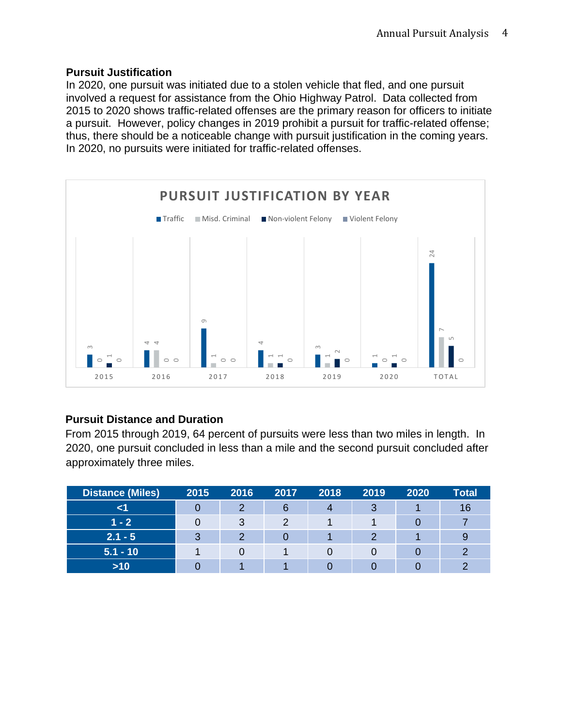#### **Pursuit Justification**

In 2020, one pursuit was initiated due to a stolen vehicle that fled, and one pursuit involved a request for assistance from the Ohio Highway Patrol. Data collected from 2015 to 2020 shows traffic-related offenses are the primary reason for officers to initiate a pursuit. However, policy changes in 2019 prohibit a pursuit for traffic-related offense; thus, there should be a noticeable change with pursuit justification in the coming years. In 2020, no pursuits were initiated for traffic-related offenses.



## **Pursuit Distance and Duration**

From 2015 through 2019, 64 percent of pursuits were less than two miles in length. In 2020, one pursuit concluded in less than a mile and the second pursuit concluded after approximately three miles.

| <b>Distance (Miles)</b> | 2015 | 2016 | 2017 | 2018 | 2019 | 2020 | <b>Total</b> |
|-------------------------|------|------|------|------|------|------|--------------|
|                         |      |      | 6    |      | 3    |      | 16           |
| $1 - 2$                 |      | ?    | ◠    |      |      |      |              |
| $2.1 - 5$               | ≏    |      |      |      |      |      |              |
| $5.1 - 10$              |      |      |      |      |      |      |              |
| $>10$                   |      |      |      |      |      |      |              |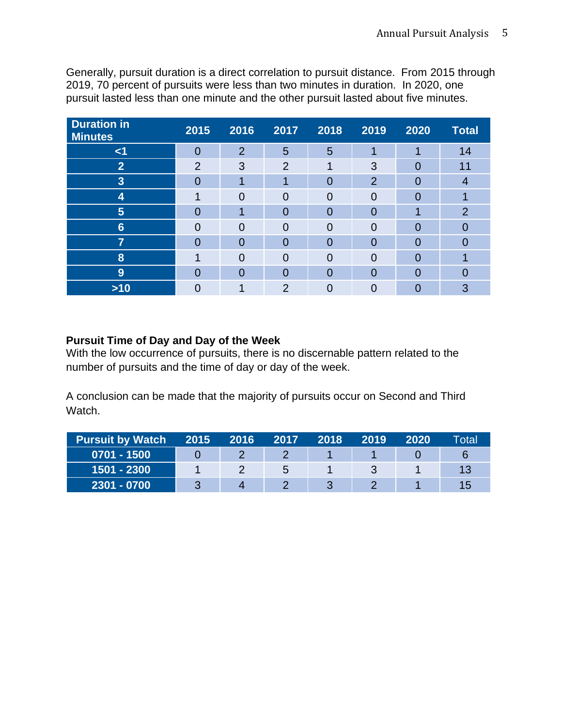Generally, pursuit duration is a direct correlation to pursuit distance. From 2015 through 2019, 70 percent of pursuits were less than two minutes in duration. In 2020, one pursuit lasted less than one minute and the other pursuit lasted about five minutes.

| <b>Duration in</b><br><b>Minutes</b> | 2015           | 2016           | 2017           | 2018           | 2019           | 2020     | <b>Total</b>   |
|--------------------------------------|----------------|----------------|----------------|----------------|----------------|----------|----------------|
| $\leq$ 1                             |                | $\overline{2}$ | $5\phantom{1}$ | 5              | 1              | 1        | 14             |
| $\overline{2}$                       | $\overline{2}$ | 3              | $\overline{2}$ |                | 3              | $\Omega$ | 11             |
| 3                                    | 0              |                | ٩              | 0              | $\overline{2}$ | 0        | 4              |
| 4                                    | 1              | $\Omega$       | $\Omega$       | $\overline{0}$ | $\overline{0}$ | 0        |                |
| $5\phantom{1}$                       |                |                | $\overline{0}$ | $\overline{0}$ | $\overline{0}$ |          | $\overline{2}$ |
| $6\phantom{1}6$                      |                | 0              | $\Omega$       | $\Omega$       | 0              | 0        | 0              |
| 7                                    | O              | $\Omega$       | $\overline{0}$ | $\overline{0}$ | $\Omega$       | 0        | በ              |
| 8                                    |                | $\Omega$       | $\Omega$       | $\overline{0}$ | 0              | 0        |                |
| 9                                    | 0              | $\Omega$       | $\overline{0}$ | 0              | $\overline{0}$ | 0        | 0              |
| $>10$                                |                |                | $\overline{2}$ | 0              |                |          | 3              |

## **Pursuit Time of Day and Day of the Week**

With the low occurrence of pursuits, there is no discernable pattern related to the number of pursuits and the time of day or day of the week.

A conclusion can be made that the majority of pursuits occur on Second and Third Watch.

| <b>Pursuit by Watch</b> | 2015 | 2016 | 2017 | 2018 | 2019 | 2020 | Total |
|-------------------------|------|------|------|------|------|------|-------|
| $0701 - 1500$           |      |      |      |      |      |      |       |
| 1501 - 2300             |      |      | b    |      |      |      | 13    |
| 2301 - 0700             |      |      |      |      |      |      | 15    |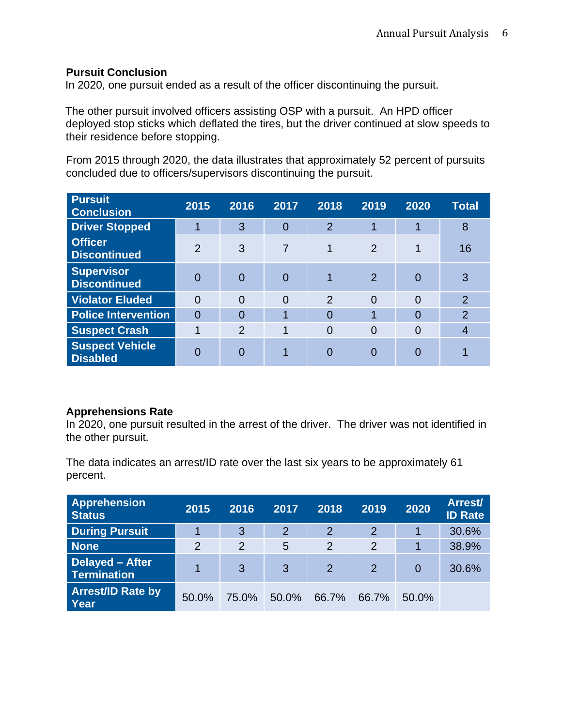### **Pursuit Conclusion**

In 2020, one pursuit ended as a result of the officer discontinuing the pursuit.

The other pursuit involved officers assisting OSP with a pursuit. An HPD officer deployed stop sticks which deflated the tires, but the driver continued at slow speeds to their residence before stopping.

From 2015 through 2020, the data illustrates that approximately 52 percent of pursuits concluded due to officers/supervisors discontinuing the pursuit.

| <b>Pursuit</b><br><b>Conclusion</b>       | 2015           | 2016           | 2017           | 2018           | 2019           | 2020           | <b>Total</b>   |
|-------------------------------------------|----------------|----------------|----------------|----------------|----------------|----------------|----------------|
| <b>Driver Stopped</b>                     |                | 3              | 0              | $\overline{2}$ | 1              | 1              | 8              |
| <b>Officer</b><br><b>Discontinued</b>     | $\overline{2}$ | 3              | $\overline{7}$ | 1              | $\overline{2}$ |                | 16             |
| <b>Supervisor</b><br><b>Discontinued</b>  |                | $\Omega$       | 0              |                | $\overline{2}$ | 0              | 3              |
| <b>Violator Eluded</b>                    | $\Omega$       | $\Omega$       | $\overline{0}$ | $\overline{2}$ | $\Omega$       | $\Omega$       | $\overline{2}$ |
| <b>Police Intervention</b>                | $\Omega$       | $\Omega$       | 1              | $\Omega$       |                | $\Omega$       | $\overline{2}$ |
| <b>Suspect Crash</b>                      |                | $\overline{2}$ | 1              | $\overline{0}$ | $\overline{0}$ | $\overline{0}$ | 4              |
| <b>Suspect Vehicle</b><br><b>Disabled</b> |                | $\Omega$       | 4              | 0              | 0              |                |                |

### **Apprehensions Rate**

In 2020, one pursuit resulted in the arrest of the driver. The driver was not identified in the other pursuit.

The data indicates an arrest/ID rate over the last six years to be approximately 61 percent.

| <b>Apprehension</b><br><b>Status</b>  | 2015           | 2016  | 2017  | 2018           | 2019           | 2020  | <b>Arrest/</b><br><b>ID Rate</b> |
|---------------------------------------|----------------|-------|-------|----------------|----------------|-------|----------------------------------|
| <b>During Pursuit</b>                 |                | 3     | 2     | $\overline{2}$ | $\overline{2}$ |       | 30.6%                            |
| <b>None</b>                           | $\overline{2}$ | 2     | 5     | $\overline{2}$ | $\overline{2}$ |       | 38.9%                            |
| Delayed - After<br><b>Termination</b> | 1              | 3     | 3     | $\overline{2}$ | $\overline{2}$ | 0     | 30.6%                            |
| <b>Arrest/ID Rate by</b><br>Year      | 50.0%          | 75.0% | 50.0% | 66.7%          | 66.7%          | 50.0% |                                  |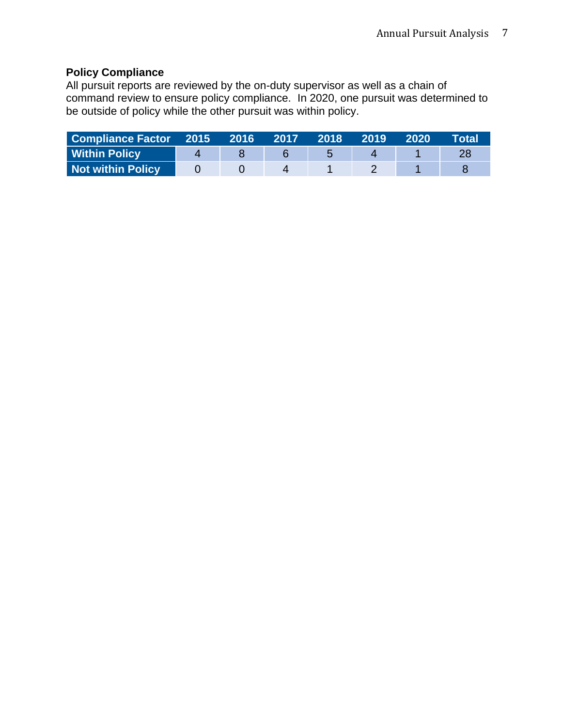# **Policy Compliance**

All pursuit reports are reviewed by the on-duty supervisor as well as a chain of command review to ensure policy compliance. In 2020, one pursuit was determined to be outside of policy while the other pursuit was within policy.

| <b>Compliance Factor 2015</b> | $\sim$ 2016 $\prime$ | 12017 | <b>2018</b> | $ 2019\rangle$ | 2020 | Total' |
|-------------------------------|----------------------|-------|-------------|----------------|------|--------|
| Within Policy                 |                      |       |             |                |      |        |
| Not within Policy             |                      |       |             |                |      |        |